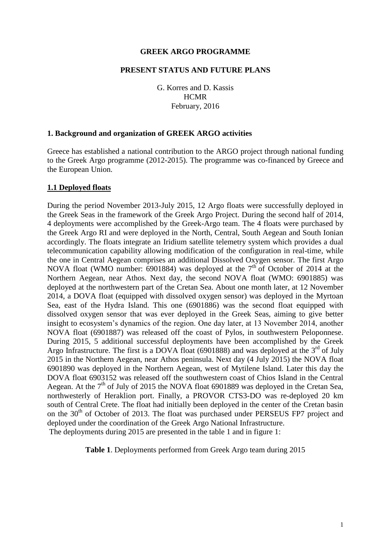#### **GREEK ARGO PROGRAMME**

#### **PRESENT STATUS AND FUTURE PLANS**

G. Korres and D. Kassis **HCMR** February, 2016

## **1. Background and organization of GREEK ARGO activities**

Greece has established a national contribution to the ARGO project through national funding to the Greek Argo programme (2012-2015). The programme was co-financed by Greece and the European Union.

#### **1.1 Deployed floats**

During the period November 2013-July 2015, 12 Argo floats were successfully deployed in the Greek Seas in the framework of the Greek Argo Project. During the second half of 2014, 4 deployments were accomplished by the Greek-Argo team. The 4 floats were purchased by the Greek Argo RI and were deployed in the North, Central, South Aegean and South Ionian accordingly. The floats integrate an Iridium satellite telemetry system which provides a dual telecommunication capability allowing modification of the configuration in real-time, while the one in Central Aegean comprises an additional Dissolved Oxygen sensor. The first Argo NOVA float (WMO number:  $6901884$ ) was deployed at the 7<sup>th</sup> of October of 2014 at the Northern Aegean, near Athos. Next day, the second NOVA float (WMO: 6901885) was deployed at the northwestern part of the Cretan Sea. About one month later, at 12 November 2014, a DOVA float (equipped with dissolved oxygen sensor) was deployed in the Myrtoan Sea, east of the Hydra Island. This one (6901886) was the second float equipped with dissolved oxygen sensor that was ever deployed in the Greek Seas, aiming to give better insight to ecosystem's dynamics of the region. One day later, at 13 November 2014, another NOVA float (6901887) was released off the coast of Pylos, in southwestern Peloponnese. During 2015, 5 additional successful deployments have been accomplished by the Greek Argo Infrastructure. The first is a DOVA float (6901888) and was deployed at the  $3<sup>rd</sup>$  of July 2015 in the Northern Aegean, near Athos peninsula. Next day (4 July 2015) the NOVA float 6901890 was deployed in the Northern Aegean, west of Mytilene Island. Later this day the DOVA float 6903152 was released off the southwestern coast of Chios Island in the Central Aegean. At the  $7<sup>th</sup>$  of July of 2015 the NOVA float 6901889 was deployed in the Cretan Sea, northwesterly of Heraklion port. Finally, a PROVOR CTS3-DO was re-deployed 20 km south of Central Crete. The float had initially been deployed in the center of the Cretan basin on the 30<sup>th</sup> of October of 2013. The float was purchased under PERSEUS FP7 project and deployed under the coordination of the Greek Argo National Infrastructure. The deployments during 2015 are presented in the table 1 and in figure 1:

**Table 1**. Deployments performed from Greek Argo team during 2015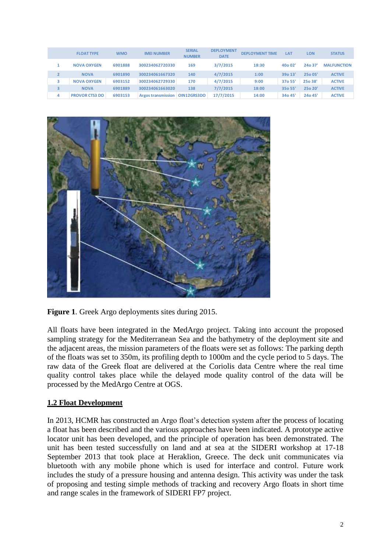|   | <b>FLOAT TYPE</b>     | <b>WMO</b> | <b>IMEI NUMBER</b>        | <b>SERIAL</b><br><b>NUMBER</b> | <b>DEPLOYMENT</b><br><b>DATE</b> | <b>DEPLOYMENT TIME</b> | LA <sub>T</sub> | <b>LON</b> | <b>STATUS</b>      |
|---|-----------------------|------------|---------------------------|--------------------------------|----------------------------------|------------------------|-----------------|------------|--------------------|
|   | <b>NOVA OXYGEN</b>    | 6901888    | 300234062720330           | 169                            | 3/7/2015                         | 18:30                  | 40002'          | 240.37'    | <b>MALFUNCTION</b> |
|   | <b>NOVA</b>           | 6901890    | 300234061667320           | 140                            | 4/7/2015                         | 1:00                   | 39013'          | 25o 05'    | <b>ACTIVE</b>      |
|   | <b>NOVA OXYGEN</b>    | 6903152    | 300234062729330           | 170                            | 4/7/2015                         | 9:00                   | 37o 55'         | 25o 38'    | <b>ACTIVE</b>      |
|   | <b>NOVA</b>           | 6901889    | 300234061663020           | 138                            | 7/7/2015                         | 18:00                  | 35o 55'         | 25o 20'    | <b>ACTIVE</b>      |
| 4 | <b>PROVOR CTS3 DO</b> | 6903153    | <b>Argos transmission</b> | OIN12GRS3DO                    | 17/7/2015                        | 14:00                  | 34o 45'         | 24o 45'    | <b>ACTIVE</b>      |



**Figure 1**. Greek Argo deployments sites during 2015.

All floats have been integrated in the MedArgo project. Taking into account the proposed sampling strategy for the Mediterranean Sea and the bathymetry of the deployment site and the adjacent areas, the mission parameters of the floats were set as follows: The parking depth of the floats was set to 350m, its profiling depth to 1000m and the cycle period to 5 days. The raw data of the Greek float are delivered at the Coriolis data Centre where the real time quality control takes place while the delayed mode quality control of the data will be processed by the MedArgo Centre at OGS.

# **1.2 Float Development**

In 2013, HCMR has constructed an Argo float's detection system after the process of locating a float has been described and the various approaches have been indicated. A prototype active locator unit has been developed, and the principle of operation has been demonstrated. The unit has been tested successfully on land and at sea at the SIDERI workshop at 17-18 September 2013 that took place at Heraklion, Greece. The deck unit communicates via bluetooth with any mobile phone which is used for interface and control. Future work includes the study of a pressure housing and antenna design. This activity was under the task of proposing and testing simple methods of tracking and recovery Argo floats in short time and range scales in the framework of SIDERI FP7 project.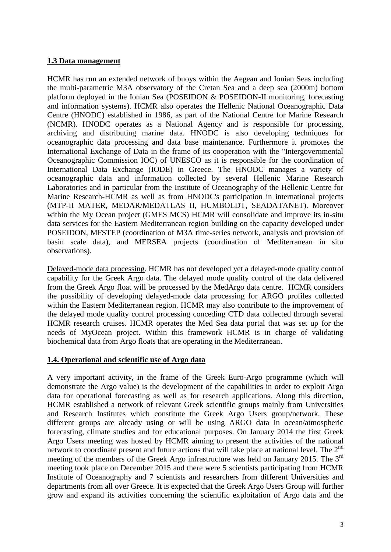# **1.3 Data management**

HCMR has run an extended network of buoys within the Aegean and Ionian Seas including the multi-parametric M3A observatory of the Cretan Sea and a deep sea (2000m) bottom platform deployed in the Ionian Sea (POSEIDON & POSEIDON-II monitoring, forecasting and information systems). HCMR also operates the Hellenic National Oceanographic Data Centre (HNODC) established in 1986, as part of the National Centre for Marine Research (NCMR). HNODC operates as a National Agency and is responsible for processing, archiving and distributing marine data. HNODC is also developing techniques for oceanographic data processing and data base maintenance. Furthermore it promotes the International Exchange of Data in the frame of its cooperation with the "Intergovernmental Oceanographic Commission IOC) of UNESCO as it is responsible for the coordination of International Data Exchange (IODE) in Greece. The HNODC manages a variety of oceanographic data and information collected by several Hellenic Marine Research Laboratories and in particular from the Institute of Oceanography of the Hellenic Centre for Marine Research-HCMR as well as from HNODC's participation in international projects (MTP-II MATER, MEDAR/MEDATLAS II, HUMBOLDT, SEADATANET). Moreover within the My Ocean project (GMES MCS) HCMR will consolidate and improve its in-situ data services for the Eastern Mediterranean region building on the capacity developed under POSEIDON, MFSTEP (coordination of M3A time-series network, analysis and provision of basin scale data), and MERSEA projects (coordination of Mediterranean in situ observations).

Delayed-mode data processing. HCMR has not developed yet a delayed-mode quality control capability for the Greek Argo data. The delayed mode quality control of the data delivered from the Greek Argo float will be processed by the MedArgo data centre. HCMR considers the possibility of developing delayed-mode data processing for ARGO profiles collected within the Eastern Mediterranean region. HCMR may also contribute to the improvement of the delayed mode quality control processing conceding CTD data collected through several HCMR research cruises. HCMR operates the Med Sea data portal that was set up for the needs of MyOcean project. Within this framework HCMR is in charge of validating biochemical data from Argo floats that are operating in the Mediterranean.

## **1.4. Operational and scientific use of Argo data**

A very important activity, in the frame of the Greek Euro-Argo programme (which will demonstrate the Argo value) is the development of the capabilities in order to exploit Argo data for operational forecasting as well as for research applications. Along this direction, HCMR established a network of relevant Greek scientific groups mainly from Universities and Research Institutes which constitute the Greek Argo Users group/network. These different groups are already using or will be using ARGO data in ocean/atmospheric forecasting, climate studies and for educational purposes. On January 2014 the first Greek Argo Users meeting was hosted by HCMR aiming to present the activities of the national network to coordinate present and future actions that will take place at national level. The 2<sup>nd</sup> meeting of the members of the Greek Argo infrastructure was held on January 2015. The 3<sup>rd</sup> meeting took place on December 2015 and there were 5 scientists participating from HCMR Institute of Oceanography and 7 scientists and researchers from different Universities and departments from all over Greece. It is expected that the Greek Argo Users Group will further grow and expand its activities concerning the scientific exploitation of Argo data and the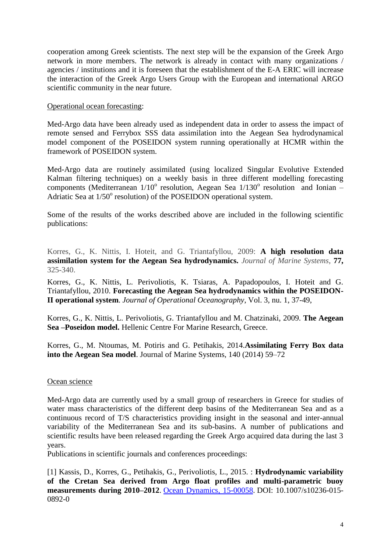cooperation among Greek scientists. The next step will be the expansion of the Greek Argo network in more members. The network is already in contact with many organizations / agencies / institutions and it is foreseen that the establishment of the E-A ERIC will increase the interaction of the Greek Argo Users Group with the European and international ARGO scientific community in the near future.

# Operational ocean forecasting:

Med-Argo data have been already used as independent data in order to assess the impact of remote sensed and Ferrybox SSS data assimilation into the Aegean Sea hydrodynamical model component of the POSEIDON system running operationally at HCMR within the framework of POSEIDON system.

Med-Argo data are routinely assimilated (using localized Singular Evolutive Extended Kalman filtering techniques) on a weekly basis in three different modelling forecasting components (Mediterranean 1/10° resolution, Aegean Sea 1/130° resolution and Ionian -Adriatic Sea at  $1/50^{\circ}$  resolution) of the POSEIDON operational system.

Some of the results of the works described above are included in the following scientific publications:

Korres, G., K. Nittis, I. Hoteit, and G. Triantafyllou, 2009: **A high resolution data assimilation system for the Aegean Sea hydrodynamics.** *Journal of Marine Systems*, **77,** 325-340.

Korres, G., K. Nittis, L. Perivoliotis, K. Tsiaras, A. Papadopoulos, I. Hoteit and G. Triantafyllou, 2010. **Forecasting the Aegean Sea hydrodynamics within the POSEIDON-II operational system**. *Journal of Operational Oceanography*, Vol. 3, nu. 1, 37-49,

Korres, G., K. Nittis, L. Perivoliotis, G. Triantafyllou and M. Chatzinaki, 2009. **The Aegean Sea –Poseidon model.** Hellenic Centre For Marine Research, Greece.

Korres, G., M. Ntoumas, M. Potiris and G. Petihakis, 2014.**Assimilating Ferry Box data into the Aegean Sea model**. Journal of Marine Systems, 140 (2014) 59–72

## Ocean science

Med-Argo data are currently used by a small group of researchers in Greece for studies of water mass characteristics of the different deep basins of the Mediterranean Sea and as a continuous record of T/S characteristics providing insight in the seasonal and inter-annual variability of the Mediterranean Sea and its sub-basins. A number of publications and scientific results have been released regarding the Greek Argo acquired data during the last 3 years.

Publications in scientific journals and conferences proceedings:

[1] Kassis, D., Korres, G., Petihakis, G., Perivoliotis, L., 2015. : **Hydrodynamic variability of the Cretan Sea derived from Argo float profiles and multi-parametric buoy measurements during 2010–2012**. [Ocean Dynamics, 15-00058.](http://link.springer.com/article/10.1007%2Fs10236-015-0892-0) DOI: 10.1007/s10236-015- 0892-0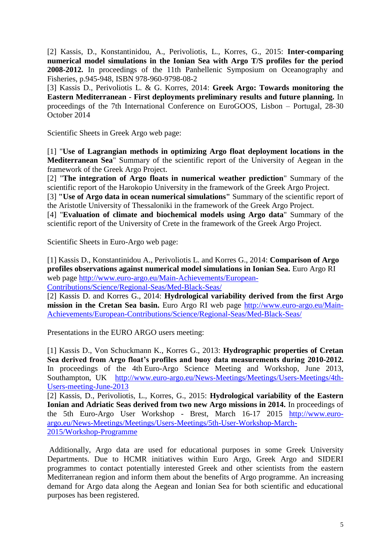[2] Kassis, D., Konstantinidou, A., Perivoliotis, L., Korres, G., 2015: **Inter-comparing numerical model simulations in the Ionian Sea with Argo T/S profiles for the period 2008-2012.** In proceedings of the 11th Panhellenic Symposium on Oceanography and Fisheries, p.945-948, ISBN 978-960-9798-08-2

[3] Kassis D., Perivoliotis L. & G. Korres, 2014: **Greek Argo: Towards monitoring the Eastern Mediterranean - First deployments preliminary results and future planning.** In proceedings of the 7th International Conference on EuroGOOS, Lisbon – Portugal, 28-30 October 2014

Scientific Sheets in Greek Argo web page:

[1] "**Use of Lagrangian methods in optimizing Argo float deployment locations in the Mediterranean Sea**" Summary of the scientific report of the University of Aegean in the framework of the Greek Argo Project.

[2] "**The integration of Argo floats in numerical weather prediction**" Summary of the scientific report of the Harokopio University in the framework of the Greek Argo Project.

[3] **"Use of Argo data in ocean numerical simulations"** Summary of the scientific report of the Aristotle University of Thessaloniki in the framework of the Greek Argo Project.

[4] "**Evaluation of climate and biochemical models using Argo data**" Summary of the scientific report of the University of Crete in the framework of the Greek Argo Project.

Scientific Sheets in Euro-Argo web page:

[1] Kassis D., Konstantinidou A., Perivoliotis L. and Korres G., 2014: **Comparison of Argo profiles observations against numerical model simulations in Ionian Sea.** Euro Argo RI web page [http://www.euro-argo.eu/Main-Achievements/European-](http://www.euro-argo.eu/Main-Achievements/European-Contributions/Science/Regional-Seas/Med-Black-Seas/)[Contributions/Science/Regional-Seas/Med-Black-Seas/](http://www.euro-argo.eu/Main-Achievements/European-Contributions/Science/Regional-Seas/Med-Black-Seas/)

[2] Kassis D. and Korres G., 2014: **Hydrological variability derived from the first Argo mission in the Cretan Sea basin.** Euro Argo RI web page [http://www.euro-argo.eu/Main-](http://www.euro-argo.eu/Main-Achievements/European-Contributions/Science/Regional-Seas/Med-Black-Seas/)[Achievements/European-Contributions/Science/Regional-Seas/Med-Black-Seas/](http://www.euro-argo.eu/Main-Achievements/European-Contributions/Science/Regional-Seas/Med-Black-Seas/)

Presentations in the EURO ARGO users meeting:

[1] Kassis D., Von Schuckmann K., Korres G., 2013: **Hydrographic properties of Cretan Sea derived from Argo float's profiles and buoy data measurements during 2010-2012.** In proceedings of the 4th Euro-Argo Science Meeting and Workshop, June 2013, Southampton, UK [http://www.euro-argo.eu/News-Meetings/Meetings/Users-Meetings/4th-](http://www.euro-argo.eu/News-Meetings/Meetings/Users-Meetings/4th-Users-meeting-June-2013)[Users-meeting-June-2013](http://www.euro-argo.eu/News-Meetings/Meetings/Users-Meetings/4th-Users-meeting-June-2013)

[2] Kassis, D., Perivoliotis, L., Korres, G., 2015: **Hydrological variability of the Eastern Ionian and Adriatic Seas derived from two new Argo missions in 2014.** In proceedings of the 5th Euro-Argo User Workshop - Brest, March 16-17 2015 [http://www.euro](http://www.euro-argo.eu/News-Meetings/Meetings/Users-Meetings/5th-User-Workshop-March-2015/Workshop-Programme)[argo.eu/News-Meetings/Meetings/Users-Meetings/5th-User-Workshop-March-](http://www.euro-argo.eu/News-Meetings/Meetings/Users-Meetings/5th-User-Workshop-March-2015/Workshop-Programme)[2015/Workshop-Programme](http://www.euro-argo.eu/News-Meetings/Meetings/Users-Meetings/5th-User-Workshop-March-2015/Workshop-Programme)

Additionally, Argo data are used for educational purposes in some Greek University Departments. Due to HCMR initiatives within Euro Argo, Greek Argo and SIDERI programmes to contact potentially interested Greek and other scientists from the eastern Mediterranean region and inform them about the benefits of Argo programme. An increasing demand for Argo data along the Aegean and Ionian Sea for both scientific and educational purposes has been registered.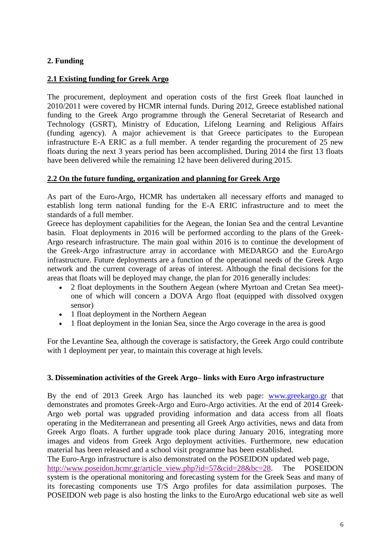# **2. Funding**

# **2.1 Existing funding for Greek Argo**

The procurement, deployment and operation costs of the first Greek float launched in 2010/2011 were covered by HCMR internal funds. During 2012, Greece established national funding to the Greek Argo programme through the General Secretariat of Research and Technology (GSRT), Ministry of Education, Lifelong Learning and Religious Affairs (funding agency). A major achievement is that Greece participates to the European infrastructure E-A ERIC as a full member. A tender regarding the procurement of 25 new floats during the next 3 years period has been accomplished. During 2014 the first 13 floats have been delivered while the remaining 12 have been delivered during 2015.

# **2.2 On the future funding, organization and planning for Greek Argo**

As part of the Euro-Argo, HCMR has undertaken all necessary efforts and managed to establish long term national funding for the E-A ERIC infrastructure and to meet the standards of a full member.

Greece has deployment capabilities for the Aegean, the Ionian Sea and the central Levantine basin. Float deployments in 2016 will be performed according to the plans of the Greek-Argo research infrastructure. The main goal within 2016 is to continue the development of the Greek-Argo infrastructure array in accordance with MEDARGO and the EuroArgo infrastructure. Future deployments are a function of the operational needs of the Greek Argo network and the current coverage of areas of interest. Although the final decisions for the areas that floats will be deployed may change, the plan for 2016 generally includes:

- 2 float deployments in the Southern Aegean (where Myrtoan and Cretan Sea meet) one of which will concern a DOVA Argo float (equipped with dissolved oxygen sensor)
- 1 float deployment in the Northern Aegean
- 1 float deployment in the Ionian Sea, since the Argo coverage in the area is good

For the Levantine Sea, although the coverage is satisfactory, the Greek Argo could contribute with 1 deployment per year, to maintain this coverage at high levels.

## **3. Dissemination activities of the Greek Argo– links with Euro Argo infrastructure**

By the end of 2013 Greek Argo has launched its web page: [www.greekargo.gr](http://www.greekargo.gr/) that demonstrates and promotes Greek-Argo and Euro-Argo activities. At the end of 2014 Greek-Argo web portal was upgraded providing information and data access from all floats operating in the Mediterranean and presenting all Greek Argo activities, news and data from Greek Argo floats. A further upgrade took place during January 2016, integrating more images and videos from Greek Argo deployment activities. Furthermore, new education material has been released and a school visit programme has been established.

The Euro-Argo infrastructure is also demonstrated on the POSEIDON updated web page, [http://www.poseidon.hcmr.gr/article\\_view.php?id=57&cid=28&bc=28.](http://www.poseidon.hcmr.gr/article_view.php?id=57&cid=28&bc=28) The POSEIDON system is the operational monitoring and forecasting system for the Greek Seas and many of its forecasting components use T/S Argo profiles for data assimilation purposes. The POSEIDON web page is also hosting the links to the EuroArgo educational web site as well